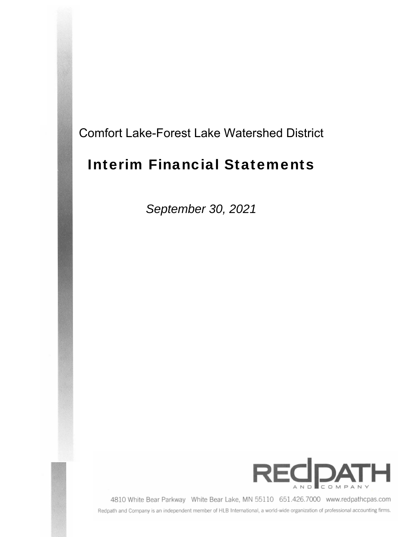## Comfort Lake-Forest Lake Watershed District

# Interim Financial Statements

*September 30, 2021* 



4810 White Bear Parkway White Bear Lake, MN 55110 651.426.7000 www.redpathcpas.com Redpath and Company is an independent member of HLB International, a world-wide organization of professional accounting firms.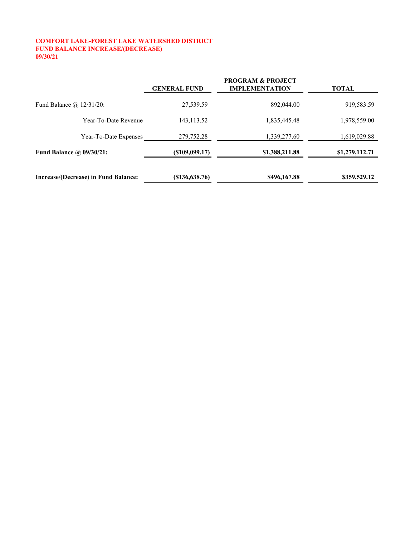#### **COMFORT LAKE-FOREST LAKE WATERSHED DISTRICT FUND BALANCE INCREASE/(DECREASE) 09/30/21**

|                                      | <b>GENERAL FUND</b> | <b>PROGRAM &amp; PROJECT</b><br><b>IMPLEMENTATION</b> | <b>TOTAL</b>   |
|--------------------------------------|---------------------|-------------------------------------------------------|----------------|
| Fund Balance $\omega$ 12/31/20:      | 27,539.59           | 892,044.00                                            | 919,583.59     |
| Year-To-Date Revenue                 | 143, 113. 52        | 1,835,445.48                                          | 1,978,559.00   |
| Year-To-Date Expenses                | 279,752.28          | 1,339,277.60                                          | 1,619,029.88   |
| Fund Balance @ 09/30/21:             | (S109,099,17)       | \$1,388,211.88                                        | \$1,279,112.71 |
| Increase/(Decrease) in Fund Balance: | (S136, 638.76)      | \$496,167.88                                          | \$359,529.12   |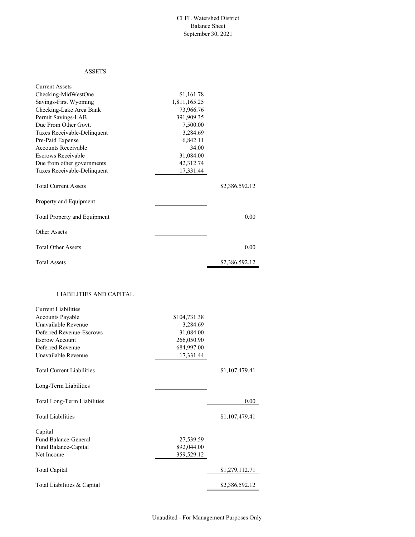#### CLFL Watershed District Balance Sheet September 30, 2021

#### ASSETS

| <b>Current Assets</b>        |              |                |
|------------------------------|--------------|----------------|
| Checking-MidWestOne          | \$1,161.78   |                |
| Savings-First Wyoming        | 1,811,165.25 |                |
| Checking-Lake Area Bank      | 73,966.76    |                |
| Permit Savings-LAB           | 391,909.35   |                |
| Due From Other Govt.         | 7,500.00     |                |
| Taxes Receivable-Delinquent  | 3,284.69     |                |
| Pre-Paid Expense             | 6,842.11     |                |
| <b>Accounts Receivable</b>   | 34.00        |                |
| Escrows Receivable           | 31,084.00    |                |
| Due from other governments   | 42,312.74    |                |
| Taxes Receivable-Delinquent  | 17,331.44    |                |
| <b>Total Current Assets</b>  |              | \$2,386,592.12 |
| Property and Equipment       |              |                |
| Total Property and Equipment |              | 0.00           |
| Other Assets                 |              |                |
| <b>Total Other Assets</b>    |              | 0.00           |
| <b>Total Assets</b>          |              | \$2,386,592.12 |

#### LIABILITIES AND CAPITAL

| <b>Current Liabilities</b>       |              |                |
|----------------------------------|--------------|----------------|
| <b>Accounts Payable</b>          | \$104,731.38 |                |
| Unavailable Revenue              | 3,284.69     |                |
| Deferred Revenue-Escrows         | 31,084.00    |                |
| <b>Escrow Account</b>            | 266,050.90   |                |
| Deferred Revenue                 | 684,997.00   |                |
| Unavailable Revenue              | 17,331.44    |                |
| <b>Total Current Liabilities</b> |              | \$1,107,479.41 |
| Long-Term Liabilities            |              |                |
| Total Long-Term Liabilities      |              | 0.00           |
| <b>Total Liabilities</b>         |              | \$1,107,479.41 |
| Capital                          |              |                |
| Fund Balance-General             | 27,539.59    |                |
| Fund Balance-Capital             | 892,044.00   |                |
| Net Income                       | 359,529.12   |                |
| Total Capital                    |              | \$1,279,112.71 |
| Total Liabilities & Capital      |              | \$2,386,592.12 |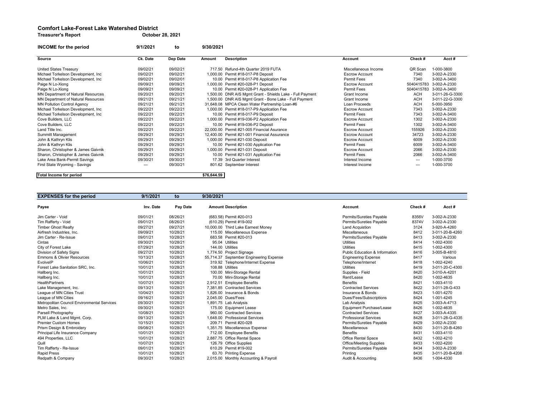#### **Comfort Lake-Forest Lake Watershed District Treasurer's Report October 28, 2021**

| INCOME for the period               | 9/1/2021 | to       | 9/30/2021   |                                                           |                       |            |                 |
|-------------------------------------|----------|----------|-------------|-----------------------------------------------------------|-----------------------|------------|-----------------|
| Source                              | Ck. Date | Dep Date | Amount      | <b>Description</b>                                        | <b>Account</b>        | Check#     | Acct#           |
| United States Treasury              | 09/02/21 | 09/02/21 |             | 717.50 Refund-4th Quarter 2019 FUTA                       | Miscellaneous Income  | QR Scan    | 1-000-3800      |
| Michael Torkelson Development, Inc. | 09/02/21 | 09/02/21 |             | 1,000.00 Permit #18-017-P8 Deposit                        | <b>Escrow Account</b> | 7340       | 3-002-A-2330    |
| Michael Torkelson Development, Inc. | 09/02/21 | 09/02/01 |             | 10.00 Permit #18-017-P8 Application Fee                   | Permit Fees           | 7340       | 3-002-A-3400    |
| Paige N Lo-Xiong                    | 09/09/21 | 09/09/21 |             | 1.000.00 Permit #20-028-P1 Deposit                        | <b>Escrow Account</b> | 5040415783 | 3-002-A-2330    |
| Paige N Lo-Xiong                    | 09/09/21 | 09/09/21 |             | 10.00 Permit #20-028-P1 Application Fee                   | Permit Fees           | 5040415783 | 3-002-A-3400    |
| MN Department of Natural Resources  | 09/20/21 | 09/20/21 |             | 1,500.00 DNR AIS Mgmt Grant - Shields Lake - Full Payment | Grant Income          | <b>ACH</b> | 3-011-26-G-3300 |
| MN Department of Natural Resources  | 09/21/21 | 09/21/21 |             | 1,500.00 DNR AIS Mgmt Grant - Bone Lake - Full Payment    | Grant Income          | <b>ACH</b> | 3-011-22-G-3300 |
| <b>MN Pollution Control Agency</b>  | 09/21/21 | 09/21/21 |             | 31,648.08 MPCA Clean Water Partnership Loan-#6            | Loan Proceeds         | <b>ACH</b> | 5-000-3950      |
| Michael Torkelson Development, Inc. | 09/22/21 | 09/22/21 |             | 1,000.00 Permit #18-017-P9 Application Fee                | <b>Escrow Account</b> | 7343       | 3-002-A-2330    |
| Michael Torkelson Development, Inc. | 09/22/21 | 09/22/21 |             | 10.00 Permit #18-017-P9 Deposit                           | Permit Fees           | 7343       | 3-002-A-3400    |
| Cove Builders, LLC                  | 09/22/21 | 09/22/21 |             | 1,000.00 Permit #19-036-P2 Application Fee                | <b>Escrow Account</b> | 1302       | 3-002-A-2330    |
| Cove Builders, LLC                  | 09/22/21 | 09/22/21 |             | 10.00 Permit #19-036-P2 Deposit                           | Permit Fees           | 1302       | 3-002-A-3400    |
| Land Title Inc.                     | 09/22/21 | 09/22/21 |             | 22.000.00 Permit #21-005 Financial Asurance               | <b>Escrow Account</b> | 155926     | 3-002-A-2330    |
| Summitt Management                  | 09/29/21 | 09/29/21 |             | 12.400.00 Permit #21-001 Financial Assurance              | <b>Escrow Account</b> | 34723      | 3-002-A-2330    |
| John & Kathryn Klis                 | 09/29/21 | 09/29/21 |             | 1,000.00 Permit #21-030 Deposit                           | <b>Escrow Account</b> | 6009       | 3-002-A-2330    |
| John & Kathryn Klis                 | 09/29/21 | 09/29/21 |             | 10.00 Permit #21-030 Application Fee                      | Permit Fees           | 6009       | 3-002-A-3400    |
| Sharon, Christopher & James Gaivnik | 09/29/21 | 09/29/21 |             | 1,000.00 Permit #21-031 Deposit                           | <b>Escrow Account</b> | 2066       | 3-002-A-2330    |
| Sharon, Christopher & James Gaivnik | 09/29/21 | 09/29/21 | 10.00       | Permit #21-031 Application Fee                            | Permit Fees           | 2066       | 3-002-A-3400    |
| Lake Area Bank-Permit Savings       | 09/30/21 | 09/30/21 |             | 17.39 3rd Quarter Interest                                | Interest Income       | $- - -$    | 1-000-3700      |
| First State Wyoming - Savings       | ---      | 09/30/21 |             | 801.62 September Interest                                 | Interest Income       | ---        | 1-000-3700      |
| Total Income for period             |          |          | \$76,644.59 |                                                           |                       |            |                 |

| <b>EXPENSES for the period</b>              | 9/1/2021  | to       | 9/30/2021 |                                         |                                |        |                 |
|---------------------------------------------|-----------|----------|-----------|-----------------------------------------|--------------------------------|--------|-----------------|
| Payee                                       | Inv. Date | Pay Date |           | <b>Amount Description</b>               | <b>Account</b>                 | Check# | Acct#           |
| Jim Carter - Void                           | 09/01/21  | 08/26/21 |           | (683.58) Permit #20-013                 | Permits/Sureties Payable       | 8356V  | 3-002-A-2330    |
| Tim Rafferty - Void                         | 09/01/21  | 08/26/21 |           | (610.29) Permit #19-002                 | Permits/Sureties Payable       | 8374V  | 3-002-A-2330    |
| <b>Timber Ghost Realty</b>                  | 09/27/21  | 09/27/21 |           | 10,000.00 Third Lake Earnest Money      | <b>Land Acquistion</b>         | 3124   | 3-920-A-4260    |
| Airfresh Industries, Inc.                   | 09/09/21  | 10/28/21 |           | 115.00 Miscellaneous Expense            | Miscellaneous                  | 8412   | 3-011-20-B-4260 |
| Jim Carter - Re-Issue                       | 09/01/21  | 10/28/21 |           | 683.58 Permit #20-013                   | Permits/Sureties Payable       | 8413   | 3-002-A-2330    |
| Cintas                                      | 09/30/21  | 10/28/21 |           | 95.04 Utilities                         | <b>Utilities</b>               | 8414   | 1-002-4300      |
| City of Forest Lake                         | 07/29/21  | 10/28/21 |           | 144.00 Utilities                        | <b>Utilities</b>               | 8415   | 1-002-4300      |
| Division of Safety Signs                    | 09/27/21  | 10/28/21 |           | 1,774.50 Project Signage                | Public Education & Information | 8416   | 3-005-B-4810    |
| <b>Emmons &amp; Olivier Resources</b>       | 10/13/21  | 10/28/21 |           | 55,714.37 September Engineering Expense | <b>Engineering Expense</b>     | 8417   | Various         |
| EvolveIP                                    | 10/06/21  | 10/28/21 |           | 319.92 Telephone/Internet Expense       | Telephone/Internet             | 8418   | 1-002-4240      |
| Forest Lake Sanitation SRC. Inc.            | 10/01/21  | 10/28/21 |           | 108.88 Utilities                        | <b>Utilities</b>               | 8419   | 3-011-20-C-4300 |
| Hallberg Inc.                               | 10/01/21  | 10/28/21 |           | 100.00 Mini-Storage Rental              | Supplies - Field               | 8420   | 3-010-A-4201    |
| Hallberg Inc.                               | 10/01/21  | 10/28/21 |           | 70.00 Mini-Storage Rental               | Rent/Lease                     | 8420   | 1-002-4635      |
| HealthPartners                              | 10/07/21  | 10/28/21 | 2.912.51  | <b>Employee Benefits</b>                | <b>Benefits</b>                | 8421   | 1-003-4110      |
| Lake Management, Inc.                       | 09/13/21  | 10/28/21 |           | 7.381.85 Contracted Services            | <b>Contracted Services</b>     | 8422   | 3-011-28-G-433  |
| League of MN Cities Trust                   | 10/04/21  | 10/28/21 |           | 1.826.00 Insurance & Bonds              | Insurance & Bonds              | 8423   | 1-001-4270      |
| League of MN Cities                         | 09/16/21  | 10/28/21 |           | 2.045.00 Dues/Fees                      | Dues/Fees/Subscriptions        | 8424   | 1-001-4245      |
| Metropolitan Council Environmental Services | 09/30/21  | 10/28/21 |           | 1,891.75 Lab Analysis                   | Lab Analysis                   | 8425   | 3-003-A-4713    |
| Metro Sales, Inc.                           | 09/30/21  | 10/28/21 | 175.00    | <b>Equipment Lease</b>                  | Equipment Purchase/Lease       | 8426   | 1-002-4635      |
| Parsell Photography                         | 10/08/21  | 10/28/21 |           | 960.00 Contracted Services              | <b>Contracted Services</b>     | 8427   | 3-003-A-4335    |
| PLM Lake & Land Mgmt. Corp.                 | 09/13/21  | 10/28/21 |           | 1.648.00 Professional Services          | <b>Professional Services</b>   | 8428   | 3-011-28-G-4335 |
| <b>Premier Custom Homes</b>                 | 10/15/21  | 10/28/21 |           | 209.71 Permit #20-028                   | Permits/Sureties Payable       | 8429   | 3-002-A-2330    |
| Prism Design & Embroidery                   | 09/08/21  | 10/28/21 |           | 1,351.75 Miscellaneous Expense          | Miscellaneous                  | 8430   | 3-011-20-B-4260 |
| Principal Life Insurance Company            | 10/01/21  | 10/28/21 |           | 712.00 Employee Benefits                | <b>Benefits</b>                | 8431   | 1-003-4110      |
| 494 Properties, LLC                         | 10/01/21  | 10/28/21 |           | 2.887.75 Office Rental Space            | Office Rental Space            | 8432   | 1-002-4210      |
| Quill                                       | 10/07/21  | 10/28/21 |           | 126.79 Office Supplies                  | <b>Office/Meeting Supplies</b> | 8433   | 1-002-4200      |
| Tim Rafferty - Re-Issue                     | 09/01/21  | 10/28/21 |           | 610.29 Permit #19-002                   | Permits/Sureties Payable       | 8434   | 3-002-A-2330    |
| <b>Rapid Press</b>                          | 10/01/21  | 10/28/21 |           | 63.70 Printing Expense                  | Printing                       | 8435   | 3-011-20-B-4208 |
| Redpath & Company                           | 09/30/21  | 10/28/21 |           | 2,015.00 Monthly Accounting & Payroll   | Audit & Accounting             | 8436   | 1-004-4330      |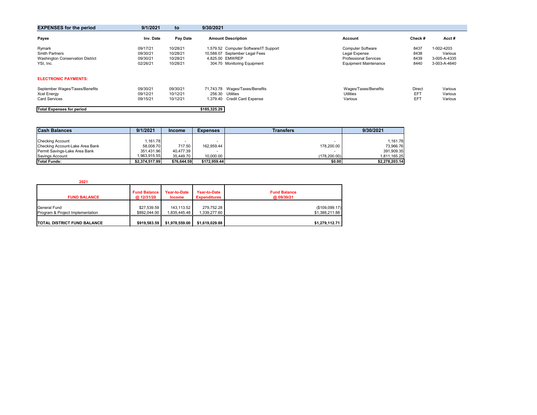| <b>EXPENSES for the period</b>                                                   | 9/1/2021                                     | to                                           | 9/30/2021    |                                                                                                                           |                                                                                                           |                              |                                                       |
|----------------------------------------------------------------------------------|----------------------------------------------|----------------------------------------------|--------------|---------------------------------------------------------------------------------------------------------------------------|-----------------------------------------------------------------------------------------------------------|------------------------------|-------------------------------------------------------|
| Payee                                                                            | Inv. Date                                    | Pay Date                                     |              | <b>Amount Description</b>                                                                                                 | Account                                                                                                   | Check #                      | Acct#                                                 |
| Rymark<br><b>Smith Partners</b><br>Washington Conservation District<br>YSI, Inc. | 09/17/21<br>09/30/21<br>09/30/21<br>02/26/21 | 10/28/21<br>10/28/21<br>10/28/21<br>10/28/21 |              | 1,579.52 Computer Software/IT Support<br>10,588.07 September Legal Fees<br>4.825.00 EMWREP<br>304.70 Monitoring Equipment | <b>Computer Software</b><br>Legal Expense<br><b>Professional Services</b><br><b>Equipment Maintenance</b> | 8437<br>8438<br>8439<br>8440 | 1-002-4203<br>Various<br>3-005-A-4335<br>3-003-A-4640 |
| <b>ELECTRONIC PAYMENTS:</b>                                                      |                                              |                                              |              |                                                                                                                           |                                                                                                           |                              |                                                       |
| September Wages/Taxes/Benefits<br><b>Xcel Energy</b><br><b>Card Services</b>     | 09/30/21<br>09/12/21<br>09/15/21             | 09/30/21<br>10/12/21<br>10/12/21             | 256.30       | 71,743.78 Wages/Taxes/Benefits<br>Utilities<br>1.379.40 Credit Card Expense                                               | Wages/Taxes/Benefits<br>Utilities<br>Various                                                              | Direct<br>EFT<br>EFT         | Various<br>Various<br>Various                         |
| <b>Total Expenses for period</b>                                                 |                                              |                                              | \$185,325.29 |                                                                                                                           |                                                                                                           |                              |                                                       |

| <b>Cash Balances</b>            | 9/1/2021       | <b>Income</b> | <b>Expenses</b> | <b>Transfers</b> | 9/30/2021      |
|---------------------------------|----------------|---------------|-----------------|------------------|----------------|
|                                 |                |               |                 |                  |                |
| <b>Checking Account</b>         | 1.161.78       |               |                 |                  | 1.161.78       |
| Checking Account-Lake Area Bank | 58.008.70      | 717.50        | 162.959.44      | 178,200.00       | 73.966.76      |
| Permit Savings-Lake Area Bank   | 351.431.96     | 40.477.39     |                 |                  | 391.909.35     |
| <b>Savings Account</b>          | 1.963.915.55   | 35.449.70     | 10.000.00       | (178.200.00)     | 1.811.165.25   |
| <b>Total Funds:</b>             | \$2,374,517.99 | \$76.644.59   | \$172,959.44    | \$0.00           | \$2,278,203.14 |

**2021 Fund Balance**<br> **Comparison 12/31/20 Comparison income**<br> **Expenditures Comparison 12/31/2010**<br> **Expenditures FUND BALANCE @ 12/31/20 Income Expenditures @ 09/30/21** General Fund \$27,539.59 | 143,113.52 | 279,752.28 | (\$109,099.17) General Fund (\$109,099.17) \$27,539.59 143,113.52 279,752.28 (\$109,099.17) \$1,388,211.88 \$1,388,211.88 \$892,044.00 1,835,445.48 1,339,277.60 (\$1,388,211.88 1,388,211.88 **TOTAL DISTRICT FUND BALANCE \$919,583.59 \$1,978,559.00 \$1,619,029.88 \$1,279,112.71**